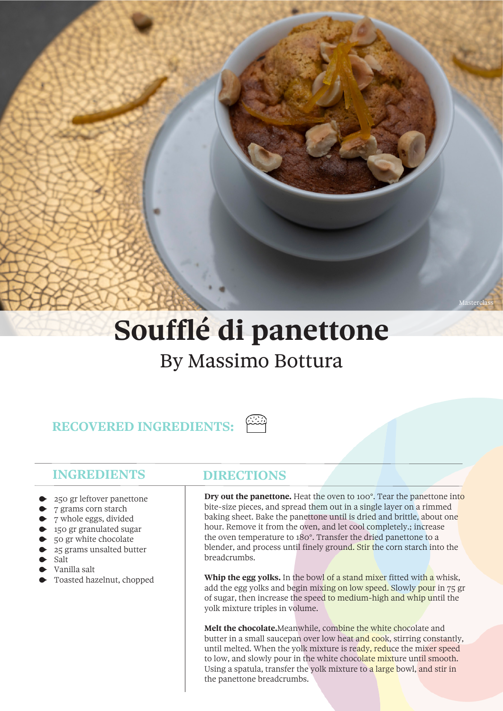## **Soufflé di panettone** By Massimo Bottura

## **RECOVERED INGREDIENTS:**

## **INGREDIENTS**

- 250 gr leftover panettone
- 7 grams corn starch
- 7 whole eggs, divided
- 150 gr granulated sugar
- 50 gr white chocolate
- 25 grams unsalted butter
- Salt
- Vanilla salt
- Toasted hazelnut, chopped

## **DIRECTIONS**

**Dry out the panettone.** Heat the oven to 100°. Tear the panettone into bite-size pieces, and spread them out in a single layer on a rimmed baking sheet. Bake the panettone until is dried and brittle, about one hour. Remove it from the oven, and let cool completely.; increase the oven temperature to 180°. Transfer the dried panettone to a blender, and process until finely ground. Stir the corn starch into the breadcrumbs.

**Whip the egg yolks.** In the bowl of a stand mixer fitted with a whisk, add the egg yolks and begin mixing on low speed. Slowly pour in 75 gr of sugar, then increase the speed to medium-high and whip until the yolk mixture triples in volume.

**Melt the chocolate.**Meanwhile, combine the white chocolate and butter in a small saucepan over low heat and cook, stirring constantly, until melted. When the yolk mixture is ready, reduce the mixer speed to low, and slowly pour in the white chocolate mixture until smooth. Using a spatula, transfer the yolk mixture to a large bowl, and stir in the panettone breadcrumbs.